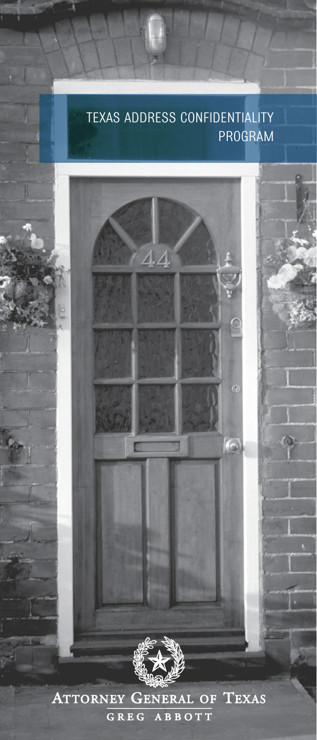## Texas Address Confidentiality Program